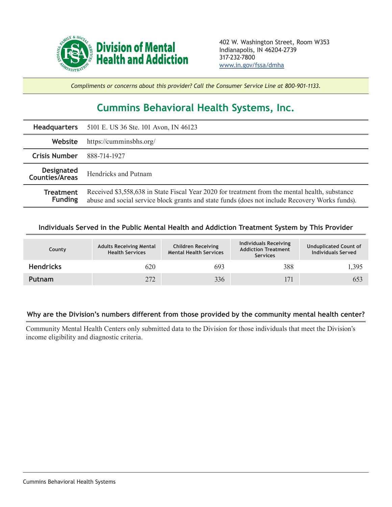

*Compliments or concerns about this provider? Call the Consumer Service Line at 800-901-1133.*

## **Cummins Behavioral Health Systems, Inc.**

|                                     | Headquarters 5101 E. US 36 Ste. 101 Avon, IN 46123                                                                                                                                               |  |  |  |
|-------------------------------------|--------------------------------------------------------------------------------------------------------------------------------------------------------------------------------------------------|--|--|--|
| Website                             | https://cumminsbhs.org/                                                                                                                                                                          |  |  |  |
| <b>Crisis Number</b>                | 888-714-1927                                                                                                                                                                                     |  |  |  |
| <b>Designated</b><br>Counties/Areas | Hendricks and Putnam                                                                                                                                                                             |  |  |  |
| <b>Treatment</b><br><b>Funding</b>  | Received \$3,558,638 in State Fiscal Year 2020 for treatment from the mental health, substance<br>abuse and social service block grants and state funds (does not include Recovery Works funds). |  |  |  |

## **Individuals Served in the Public Mental Health and Addiction Treatment System by This Provider**

| County           | <b>Adults Receiving Mental</b><br><b>Health Services</b> | <b>Children Receiving</b><br><b>Mental Health Services</b> | Individuals Receiving<br><b>Addiction Treatment</b><br><b>Services</b> | <b>Unduplicated Count of</b><br><b>Individuals Served</b> |
|------------------|----------------------------------------------------------|------------------------------------------------------------|------------------------------------------------------------------------|-----------------------------------------------------------|
| <b>Hendricks</b> | 620                                                      | 693                                                        | 388                                                                    | 1,395                                                     |
| <b>Putnam</b>    | 272                                                      | 336                                                        | 171                                                                    | 653                                                       |

## **Why are the Division's numbers different from those provided by the community mental health center?**

Community Mental Health Centers only submitted data to the Division for those individuals that meet the Division's income eligibility and diagnostic criteria.